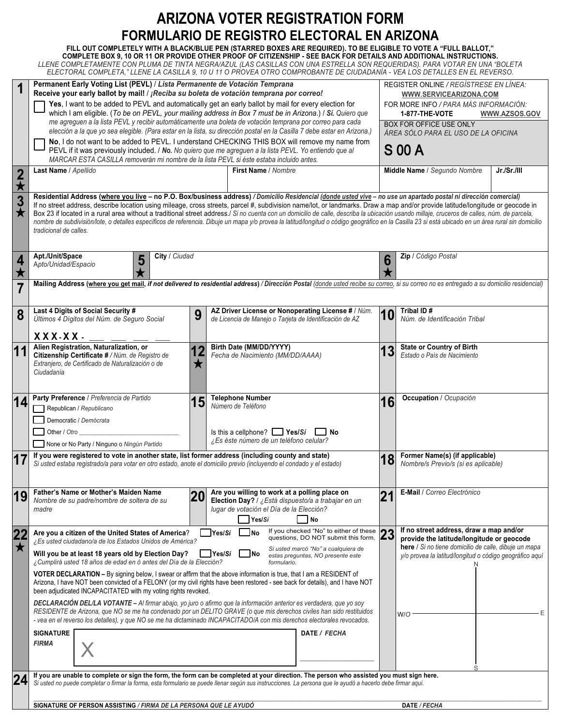# **ARIZONA VOTER REGISTRATION FORM FORMULARIO DE REGISTRO ELECTORAL EN ARIZONA**

## **FILL OUT COMPLETELY WITH A BLACK/BLUE PEN (STARRED BOXES ARE REQUIRED). TO BE ELIGIBLE TO VOTE A "FULL BALLOT,"**

**COMPLETE BOX 9, 10 OR 11 OR PROVIDE OTHER PROOF OF CITIZENSHIP - SEE BACK FOR DETAILS AND ADDITIONAL INSTRUCTIONS.** *LLENE COMPLETAMENTE CON PLUMA DE TINTA NEGRA/AZUL (LAS CASILLAS CON UNA ESTRELLA SON REQUERIDAS). PARA VOTAR EN UNA "BOLETA ELECTORAL COMPLETA," LLENE LA CASILLA 9, 10 U 11 O PROVEA OTRO COMPROBANTE DE CIUDADANÍA - VEA LOS DETALLES EN EL REVERSO.*

| 1                            | Permanent Early Voting List (PEVL) / Lista Permanente de Votación Temprana<br>Receive your early ballot by mail! / ¡Reciba su boleta de votación temprana por correo!                                                                                                                                                                                                                                                                                                                                                                                                                                                                                                                                                                                                                                                                                                                                                                                                                                                                                  |    | REGISTER ONLINE / REGÍSTRESE EN LÍNEA:<br>WWW.SERVICEARIZONA.COM                                                                                                                                                |
|------------------------------|--------------------------------------------------------------------------------------------------------------------------------------------------------------------------------------------------------------------------------------------------------------------------------------------------------------------------------------------------------------------------------------------------------------------------------------------------------------------------------------------------------------------------------------------------------------------------------------------------------------------------------------------------------------------------------------------------------------------------------------------------------------------------------------------------------------------------------------------------------------------------------------------------------------------------------------------------------------------------------------------------------------------------------------------------------|----|-----------------------------------------------------------------------------------------------------------------------------------------------------------------------------------------------------------------|
|                              | Yes, I want to be added to PEVL and automatically get an early ballot by mail for every election for<br>which I am eligible. (To be on PEVL, your mailing address in Box 7 must be in Arizona.) / Sí. Quiero que<br>me agreguen a la lista PEVL y recibir automáticamente una boleta de votación temprana por correo para cada                                                                                                                                                                                                                                                                                                                                                                                                                                                                                                                                                                                                                                                                                                                         |    | FOR MORE INFO / PARA MÁS INFORMACIÓN:<br>1-877-THE-VOTE<br>WWW.AZSOS.GOV<br>BOX FOR OFFICE USE ONLY                                                                                                             |
|                              | elección a la que yo sea elegible. (Para estar en la lista, su dirección postal en la Casilla 7 debe estar en Arizona.)<br>No, I do not want to be added to PEVL. I understand CHECKING THIS BOX will remove my name from<br>PEVL if it was previously included. / No. No quiero que me agreguen a la lista PEVL. Yo entiendo que al<br>MARCAR ESTA CASILLA removerán mi nombre de la lista PEVL si éste estaba incluido antes.                                                                                                                                                                                                                                                                                                                                                                                                                                                                                                                                                                                                                        |    | ÁREA SÓLO PARA EL USO DE LA OFICINA<br><b>S 00 A</b>                                                                                                                                                            |
| $\frac{2}{\star}$            | Last Name / Apellido<br>First Name / Nombre                                                                                                                                                                                                                                                                                                                                                                                                                                                                                                                                                                                                                                                                                                                                                                                                                                                                                                                                                                                                            |    | Middle Name / Segundo Nombre<br>Jr./Sr./III                                                                                                                                                                     |
| $\overline{\frac{3}{\star}}$ | Residential Address (where you live - no P.O. Box/business address) / Domicilio Residencial (donde usted vive - no use un apartado postal ni dirección comercial)<br>If no street address, describe location using mileage, cross streets, parcel #, subdivision name/lot, or landmarks. Draw a map and/or provide latitude/longitude or geocode in<br>Box 23 if located in a rural area without a traditional street address./ Si no cuenta con un domicilio de calle, describa la ubicación usando millaje, cruceros de calles, núm. de parcela,<br>nombre de subdivisión/lote, o detalles específicos de referencia. Dibuje un mapa y/o provea la latitud/longitud o código geográfico en la Casilla 23 si está ubicado en un área rural sin domicilio<br>tradicional de calles.                                                                                                                                                                                                                                                                    |    |                                                                                                                                                                                                                 |
| 4<br>$\bigstar$              | Apt./Unit/Space<br>City / Ciudad<br>5<br>Apto/Unidad/Espacio                                                                                                                                                                                                                                                                                                                                                                                                                                                                                                                                                                                                                                                                                                                                                                                                                                                                                                                                                                                           | 6  | Zip / Código Postal                                                                                                                                                                                             |
| 7                            | Mailing Address (where you get mail, if not delivered to residential address) / Dirección Postal (donde usted recibe su correo, si su correo no es entregado a su domicilio residencial)                                                                                                                                                                                                                                                                                                                                                                                                                                                                                                                                                                                                                                                                                                                                                                                                                                                               |    |                                                                                                                                                                                                                 |
| 8                            | Last 4 Digits of Social Security #<br>AZ Driver License or Nonoperating License # / Núm.<br>9<br>Últimos 4 Dígitos del Núm. de Seguro Social<br>de Licencia de Manejo o Tarjeta de Identificación de AZ<br>XXX-XX-                                                                                                                                                                                                                                                                                                                                                                                                                                                                                                                                                                                                                                                                                                                                                                                                                                     | 10 | Tribal ID#<br>Núm. de Identificación Tribal                                                                                                                                                                     |
| 11                           | Birth Date (MM/DD/YYYY)<br>Alien Registration, Naturalization, or<br>12<br>Citizenship Certificate # / Núm. de Registro de<br>Fecha de Nacimiento (MM/DD/AAAA)<br>Extranjero, de Certificado de Naturalización o de<br>$\bigstar$<br>Ciudadanía                                                                                                                                                                                                                                                                                                                                                                                                                                                                                                                                                                                                                                                                                                                                                                                                        | 13 | <b>State or Country of Birth</b><br>Estado o País de Nacimiento                                                                                                                                                 |
| 14                           | Party Preference / Preferencia de Partido<br><b>Telephone Number</b><br>15<br>Número de Teléfono<br>Republican / Republicano<br>Democratic / Demócrata<br>Is this a cellphone? $\Box$ Yes/Si<br>Other / Otro<br>$\Box$ No<br>¿Es éste número de un teléfono celular?<br>None or No Party / Ninguno o Ningún Partido                                                                                                                                                                                                                                                                                                                                                                                                                                                                                                                                                                                                                                                                                                                                    | 16 | Occupation / Ocupación                                                                                                                                                                                          |
| 17                           | If you were registered to vote in another state, list former address (including county and state)<br>Si usted estaba registrado/a para votar en otro estado, anote el domicilio previo (incluyendo el condado y el estado)                                                                                                                                                                                                                                                                                                                                                                                                                                                                                                                                                                                                                                                                                                                                                                                                                             | 18 | Former Name(s) (if applicable)<br>Nombre/s Previo/s (si es aplicable)                                                                                                                                           |
| 19                           | Father's Name or Mother's Maiden Name<br>Are you willing to work at a polling place on<br>20<br>Nombre de su padre/nombre de soltera de su<br>Election Day? / ¿Está dispuesto/a a trabajar en un<br>lugar de votación el Día de la Elección?<br>madre<br>No<br>Yes/Sí                                                                                                                                                                                                                                                                                                                                                                                                                                                                                                                                                                                                                                                                                                                                                                                  | 21 | E-Mail / Correo Electrónico                                                                                                                                                                                     |
| 22<br>$\bigstar$             | If you checked "No" to either of these<br>Are you a citizen of the United States of America?<br>lYes/ <i>Sí</i><br>No<br>questions, DO NOT submit this form.<br>¿Es usted ciudadano/a de los Estados Unidos de América?<br>Si usted marcó "No" a cualquiera de<br>$\frac{1}{2}$ Yes/Si<br>Will you be at least 18 years old by Election Day?<br>_INo<br>estas preguntas, NO presente este<br>¿Cumplirá usted 18 años de edad en ó antes del Día de la Elección?<br>formulario.<br>VOTER DECLARATION - By signing below, I swear or affirm that the above information is true, that I am a RESIDENT of<br>Arizona, I have NOT been convicted of a FELONY (or my civil rights have been restored - see back for details), and I have NOT<br>been adjudicated INCAPACITATED with my voting rights revoked.<br>DECLARACIÓN DEL/LA VOTANTE - Al firmar abajo, yo juro o afirmo que la información anterior es verdadera, que yo soy<br>RESIDENTE de Arizona, que NO se me ha condenado por un DELITO GRAVE (o que mis derechos civiles han sido restituidos | 23 | If no street address, draw a map and/or<br>provide the latitude/longitude or geocode<br>here / Si no tiene domicilio de calle, dibuje un mapa<br>y/o provea la latitud/longitud o código geográfico aquí<br>W/O |
|                              | - vea en el reverso los detalles), y que NO se me ha dictaminado INCAPACITADO/A con mis derechos electorales revocados.<br><b>SIGNATURE</b><br>DATE / FECHA<br><b>FIRMA</b>                                                                                                                                                                                                                                                                                                                                                                                                                                                                                                                                                                                                                                                                                                                                                                                                                                                                            |    |                                                                                                                                                                                                                 |
| 24                           | If you are unable to complete or sign the form, the form can be completed at your direction. The person who assisted you must sign here.<br>Si usted no puede completar o firmar la forma, esta formulario se puede llenar según sus instrucciones. La persona que le ayudó a hacerlo debe firmar aquí.                                                                                                                                                                                                                                                                                                                                                                                                                                                                                                                                                                                                                                                                                                                                                |    |                                                                                                                                                                                                                 |
|                              | SIGNATURE OF PERSON ASSISTING / FIRMA DE LA PERSONA QUE LE AYUDÓ                                                                                                                                                                                                                                                                                                                                                                                                                                                                                                                                                                                                                                                                                                                                                                                                                                                                                                                                                                                       |    | DATE / FECHA                                                                                                                                                                                                    |